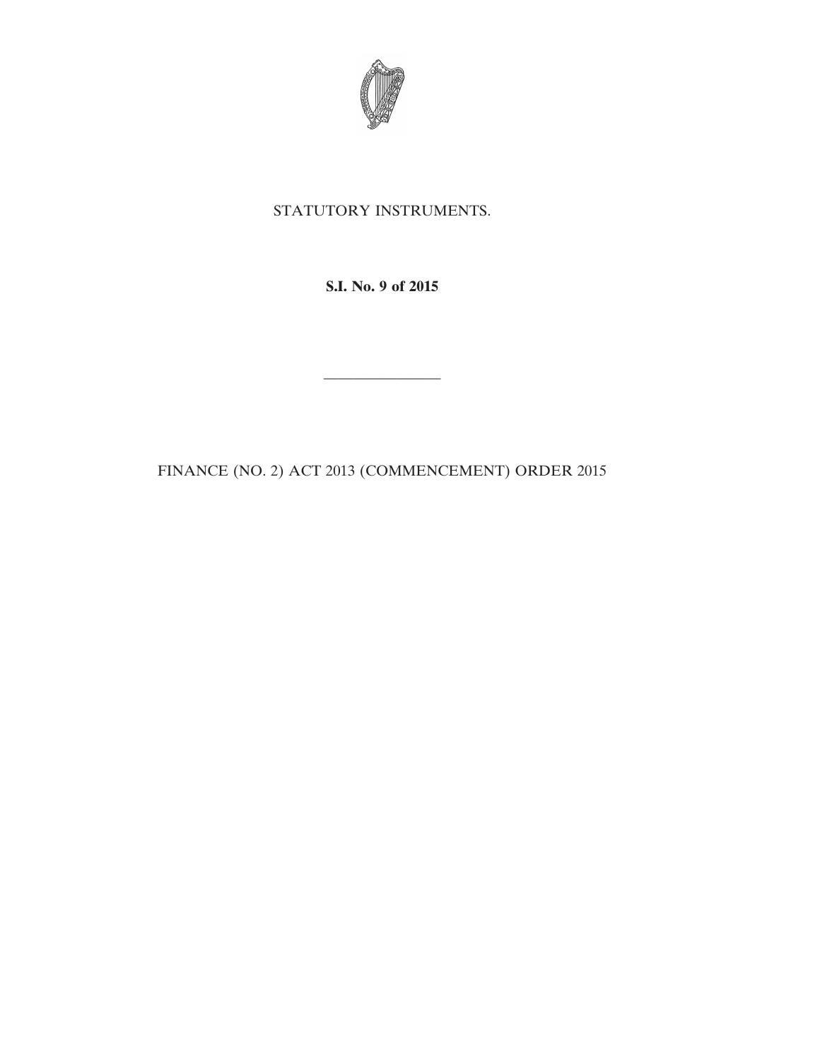

## STATUTORY INSTRUMENTS.

**S.I. No. 9 of 2015**

————————

FINANCE (NO. 2) ACT 2013 (COMMENCEMENT) ORDER 2015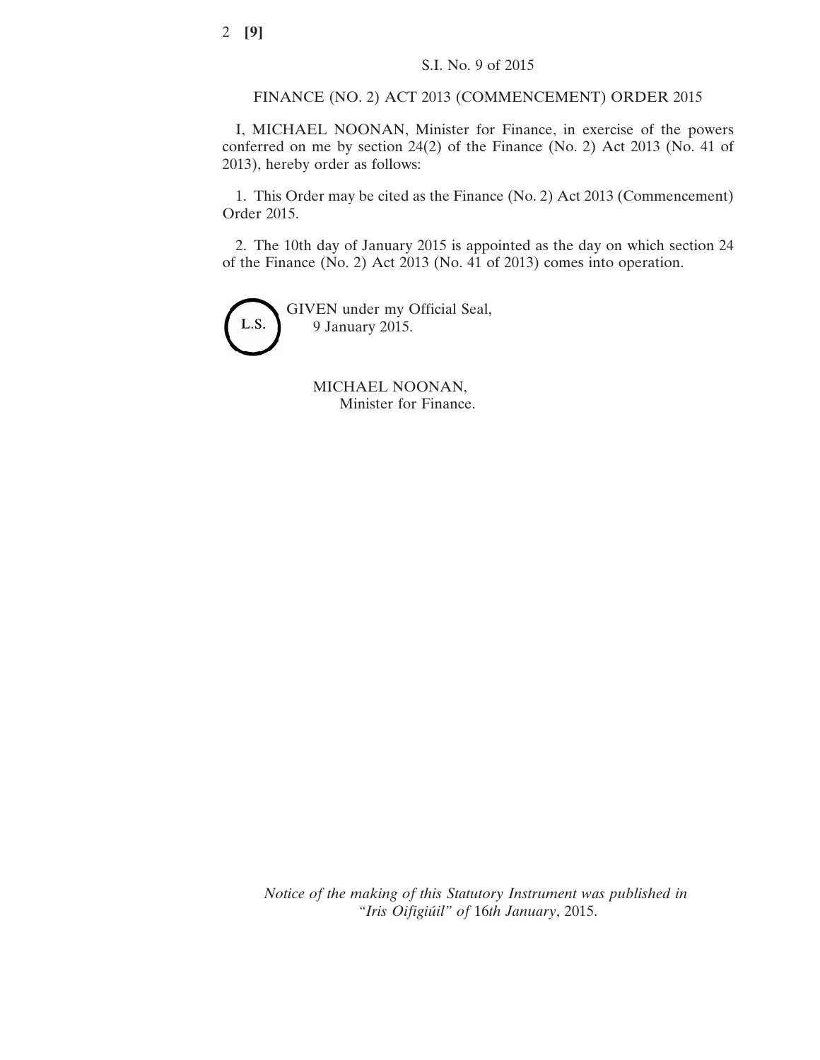FINANCE (NO. 2) ACT 2013 (COMMENCEMENT) ORDER 2015

I, MICHAEL NOONAN, Minister for Finance, in exercise of the powers conferred on me by section 24(2) of the Finance (No. 2) Act 2013 (No. 41 of 2013), hereby order as follows:

1. This Order may be cited as the Finance (No. 2) Act 2013 (Commencement) Order 2015.

2. The 10th day of January 2015 is appointed as the day on which section 24 of the Finance (No. 2) Act 2013 (No. 41 of 2013) comes into operation.



GIVEN under my Official Seal, 9 January 2015.

> MICHAEL NOONAN, Minister for Finance.

*Notice of the making of this Statutory Instrument was published in "Iris Oifigiúil" of* 16*th January*, 2015.